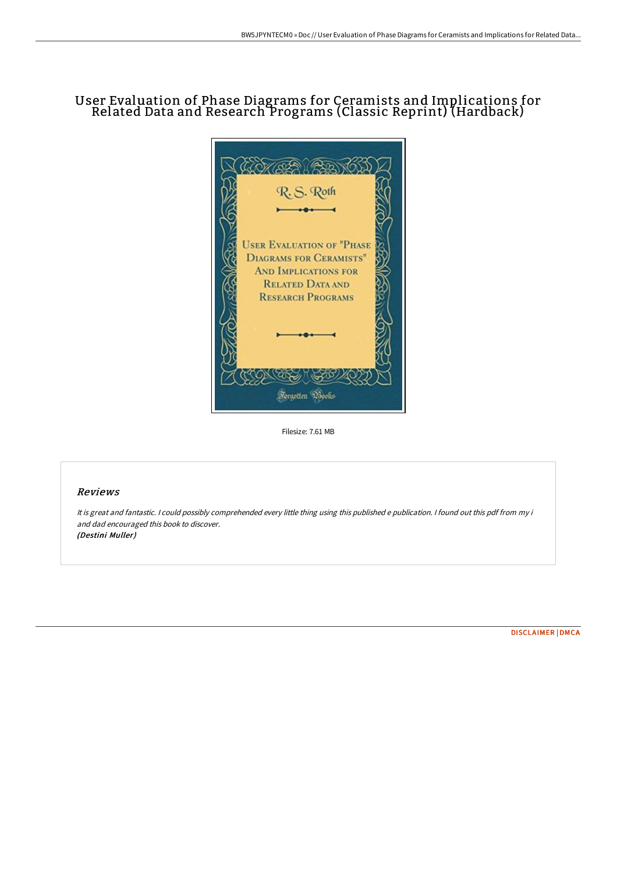## User Evaluation of Phase Diagrams for Ceramists and Implications for Related Data and Research Programs (Classic Reprint) (Hardback)



Filesize: 7.61 MB

## Reviews

It is great and fantastic. <sup>I</sup> could possibly comprehended every little thing using this published <sup>e</sup> publication. <sup>I</sup> found out this pdf from my i and dad encouraged this book to discover. (Destini Muller)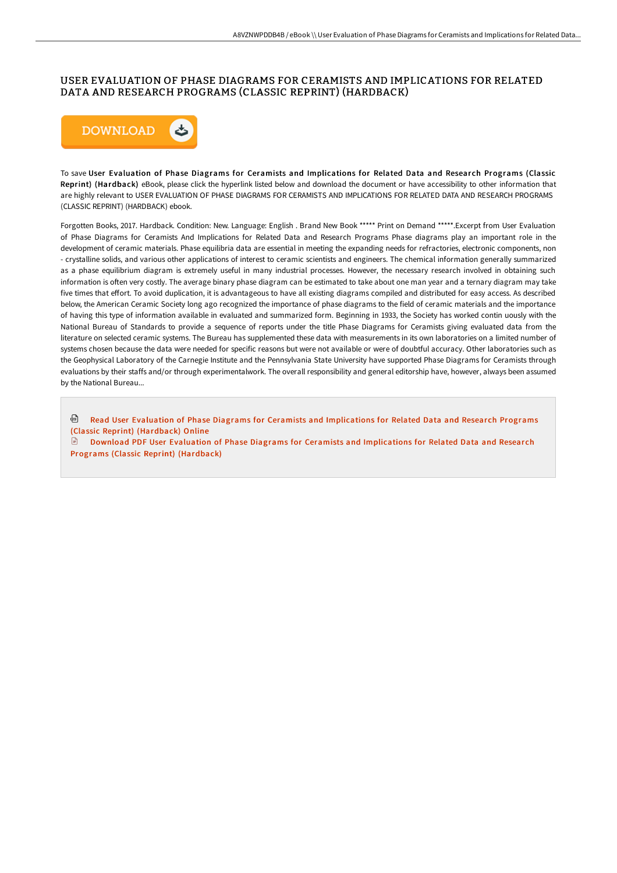## USER EVALUATION OF PHASE DIAGRAMS FOR CERAMISTS AND IMPLICATIONS FOR RELATED DATA AND RESEARCH PROGRAMS (CLASSIC REPRINT) (HARDBACK)



To save User Evaluation of Phase Diagrams for Ceramists and Implications for Related Data and Research Programs (Classic Reprint) (Hardback) eBook, please click the hyperlink listed below and download the document or have accessibility to other information that are highly relevant to USER EVALUATION OF PHASE DIAGRAMS FOR CERAMISTS AND IMPLICATIONS FOR RELATED DATA AND RESEARCH PROGRAMS (CLASSIC REPRINT) (HARDBACK) ebook.

Forgotten Books, 2017. Hardback. Condition: New. Language: English . Brand New Book \*\*\*\*\* Print on Demand \*\*\*\*\*.Excerpt from User Evaluation of Phase Diagrams for Ceramists And Implications for Related Data and Research Programs Phase diagrams play an important role in the development of ceramic materials. Phase equilibria data are essential in meeting the expanding needs for refractories, electronic components, non - crystalline solids, and various other applications of interest to ceramic scientists and engineers. The chemical information generally summarized as a phase equilibrium diagram is extremely useful in many industrial processes. However, the necessary research involved in obtaining such information is often very costly. The average binary phase diagram can be estimated to take about one man year and a ternary diagram may take five times that effort. To avoid duplication, it is advantageous to have all existing diagrams compiled and distributed for easy access. As described below, the American Ceramic Society long ago recognized the importance of phase diagrams to the field of ceramic materials and the importance of having this type of information available in evaluated and summarized form. Beginning in 1933, the Society has worked contin uously with the National Bureau of Standards to provide a sequence of reports under the title Phase Diagrams for Ceramists giving evaluated data from the literature on selected ceramic systems. The Bureau has supplemented these data with measurements in its own laboratories on a limited number of systems chosen because the data were needed for specific reasons but were not available or were of doubtful accuracy. Other laboratories such as the Geophysical Laboratory of the Carnegie Institute and the Pennsylvania State University have supported Phase Diagrams for Ceramists through evaluations by their staffs and/or through experimentalwork. The overall responsibility and general editorship have, however, always been assumed by the National Bureau...

<sup>回</sup> Read User Evaluation of Phase Diagrams for Ceramists and [Implications](http://digilib.live/user-evaluation-of-phase-diagrams-for-ceramists-.html) for Related Data and Research Programs (Classic Reprint) (Hardback) Online

Download PDF User Evaluation of Phase Diagrams for Ceramists and [Implications](http://digilib.live/user-evaluation-of-phase-diagrams-for-ceramists-.html) for Related Data and Research Programs (Classic Reprint) (Hardback)